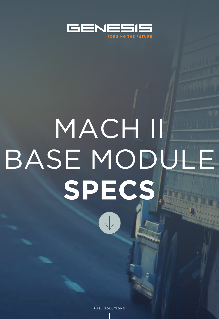

# MACH II BASE MODULE **SPECS**

FUEL SOLUTIONS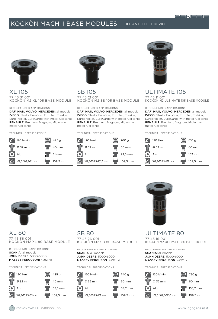

### XL 105 77 45 31 001 KOCKÒN M2 XL 105 BASE module

### Recommended Applications

DAF, MAN, VOLVO, MERCEDES: all models IVECO: Stralis, EuroStar, EuroTec, Trakker, EuroTrakker, EuroCargo with metal fuel tanks RENAULT: Premium, Magnum, Midlum with metal fuel tanks

### Technical Specifications





### SB 105 77 45 21 001 KOCKÒN M2 sb 105 BASE module

Recommended Applications DAF, MAN, VOLVO, MERCEDES: all models IVECO: Stralis, EuroStar, EuroTec, Trakker, EuroTrakker, EuroCargo with metal fuel tanks RENAULT: Premium, Magnum, Midlum with metal fuel tanks

### Technical Specifications





# ULTIMATE 105

77 45 11 001 KOCKÒN M2 ultimate 105 BASE module

### Recommended Applications

DAF, MAN, VOLVO, MERCEDES: all models IVECO: Stralis, EuroStar, EuroTec, Trakker, EuroTrakker, EuroCargo with metal fuel tanks RENAULT: Premium, Magnum, Midlum with metal fuel tanks

Technical Specifications





XL 80 77 45 36 001 KOCKÒN M2 XL 80 BASE module

Recommended Applications SCANIA: all models JOHN dEERE: 5000-6000 MASSEY FERGUSON: 4292 hd

### Technical Specifications





# SB 80

77 45 26 001 KOCKÒN M2 SB 80 BASE MODULE

Recommended Applications SCANIA: all models JOHN dEERE: 5000-6000 MASSEY FERGUSON: 4292 hd

Technical Specifications





# ULTIMATE 80

77 45 16 001 KOCKÒN M2 ultimate 80 BASE module

Recommended Applications SCANIA: all models JOHN dEERE: 5000-6000 MASSEY FERGUSON: 4292 hd

Technical Specifications

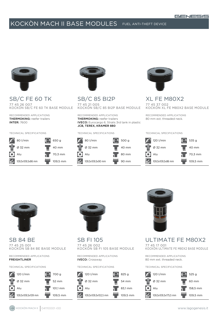

# SB/C FE 60 TK 77 45 26 007 KOCKÒN SB/C FE 60 TK BASE module

Recommended Applications THERMOKING: reefer trailers INTER: 7600

### Technical Specifications





SB/C 85 BI2P 77 45 21 005 KOCKÒN SB/C 85 BI2P BASE module

Recommended Applications THERMOKING: reefer trailers IVECO: Eurocargo 6, Stralis 3rd tank in plastic JCB, TEREX, Kramer 880

### Technical Specifications





# XL FE M80X2 77 45 37 002 KOCKÒN xl FE M80X2 BASE module

Recommended Applications 80 mm ext. threaded neck.

### Technical Specifications





SB 84 BE 77 45 25 001 KOCKÒN SB 84 BE BASE module

Recommended Applications FREIGHTLINER

### Technical Specifications





SB FI 105 77 45 26 002 KOCKÒN SB FI 105 BASE module

Recommended Applications IVECO: Crossway

### Technical Specifications





# ULTIMATE FE M80X2

77 45 17 001 KOCKÒN ULTIMATE FE M80X2 BASE module

Recommended Applications 80 mm ext. threaded neck.

Technical Specifications

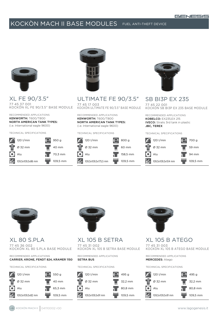

XL FE 90/3.5" 77 45 37 001 KOCKÒN XL FE 90/3.5" BASE MODULE

Recommended Applications KENWORTH: T600/T800 North American Tank Types: (i.e. International eagle 9600)

Technical Specifications





ULTIMATE FE 90/3.5" 77 45 17 003

KOCKÒN ULTIMATE FE 90/3.5" BASE MODULE

Recommended Applications KENWORTH: T600/T800 North American Tank Types: (i.e. International eagle 9600)

### Technical Specifications





### SB BI3P EX 235 77 45 22 001 KOCKÒN SB BI3P EX 235 BASE MODULE

Recommended Applications KOBELCO: EX235,EX 215 IVECO: Stralis 3rd tank in plastic JBC, TEREX

Technical Specifications





### XL 80 S.PLA 77 45 36 002 KOCKÒN XL 80 S.PLA BASE module

Recommended Applications CARRIER, KRONE, FENDT 824, KRAMER 1150

Technical Specifications





# XL 105 B SETRA

77 45 31 002 KOCKÒN XL 105 B SETRA BASE MODULE

Recommended Applications setra bus

### Technical Specifications





# XL 105 B ATEGO

77 45 31 003 KOCKÒN XL 105 B ATEGO BASE MODULE

Recommended Applications MERCEDES: Atego

Technical Specifications